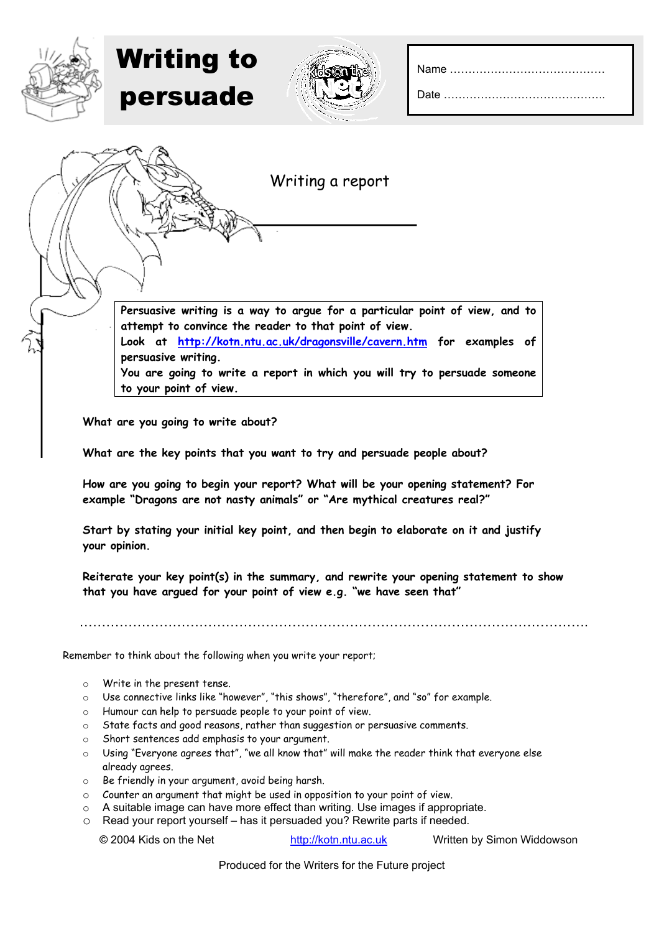| Date |  |
|------|--|
|------|--|



Writing to